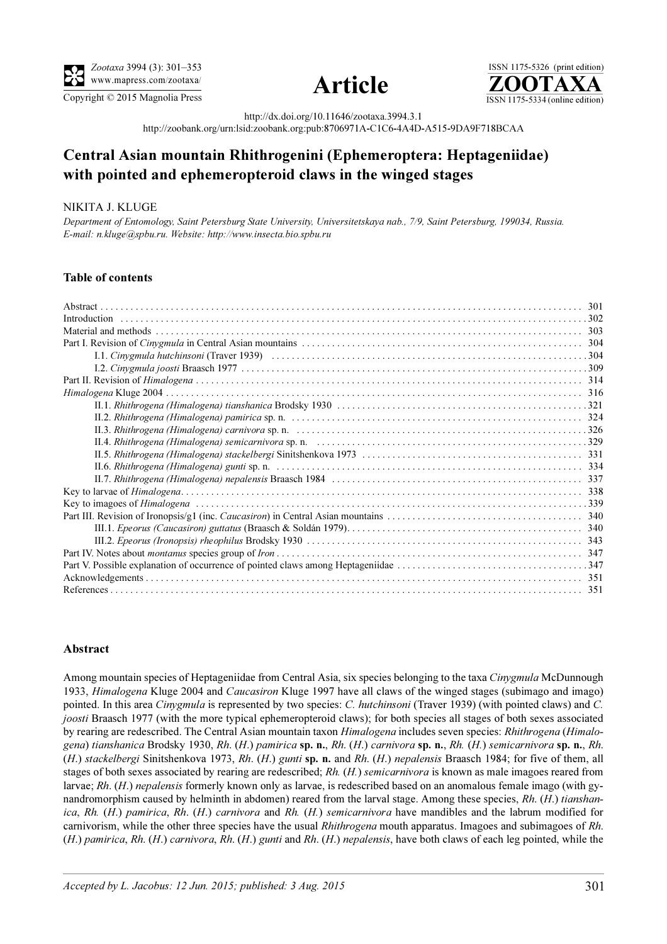

Copyright © 2015 Magnolia Press ISSN 1175-5334 (online edition)



ISSN 1175-5326 (print edition)<br> $\overline{{\bf ZOOTAXA}}$ 

http://dx.doi.org/10.11646/zootaxa.3994.3.1

http://zoobank.org/urn:lsid:zoobank.org:pub:8706971A-C1C6-4A4D-A515-9DA9F718BCAA

# Central Asian mountain Rhithrogenini (Ephemeroptera: Heptageniidae) with pointed and ephemeropteroid claws in the winged stages

## NIKITA J. KLUGE

Department of Entomology, Saint Petersburg State University, Saint Petersburg, Saint Petersburg, 199034, Saint<br>E-mail: 11 kluga@sphu ru. Wabsita: http://prope.ipsecta.hio.sphu ru E-mail: n.kluge@spbu.ru. Website: http://www.insecta.bio.spbu.ru

## Table of contents

#### Abstract

Among mountain species of Heptageniidae from Central Asia, six species belonging to the taxa *Cinygmula* McDunnough 1933, Himalogena Kluge 2004 and Caucasiron Kluge 1997 have all claws of the winged stages (subimago and imago) pointed. In this area Cinygmula is represented by two species: C. hutchinsoni (Traver 1939) (with pointed claws) and C. joosti Braasch 1977 (with the more typical ephemeropteroid claws); for both species all stages of both sexes associated by rearing are redescribed. The Central Asian mountain taxon Himalogena includes seven species: Rhithrogena (Himalogena) tianshanica Brodsky 1930, Rh. (H.) pamirica sp. n., Rh. (H.) carnivora sp. n., Rh. (H.) semicarnivora sp. n., Rh. (H.) stackelbergi Sinitshenkova 1973, Rh. (H.) gunti sp. n. and Rh. (H.) nepalensis Braasch 1984; for five of them, all stages of both sexes associated by rearing are redescribed; Rh. (H.) semicarnivora is known as male imagoes reared from larvae; Rh. (H.) nepalensis formerly known only as larvae, is redescribed based on an anomalous female imago (with gynandromorphism caused by helminth in abdomen) reared from the larval stage. Among these species, Rh. (H.) tianshanica, Rh. (H.) pamirica, Rh. (H.) carnivora and Rh. (H.) semicarnivora have mandibles and the labrum modified for carnivorism, while the other three species have the usual *Rhithrogena* mouth apparatus. Imagoes and subimagoes of Rh.  $(H.)$  pamirica, Rh.  $(H.)$  carnivora, Rh.  $(H.)$  gunti and Rh.  $(H.)$  nepalensis, have both claws of each leg pointed, while the